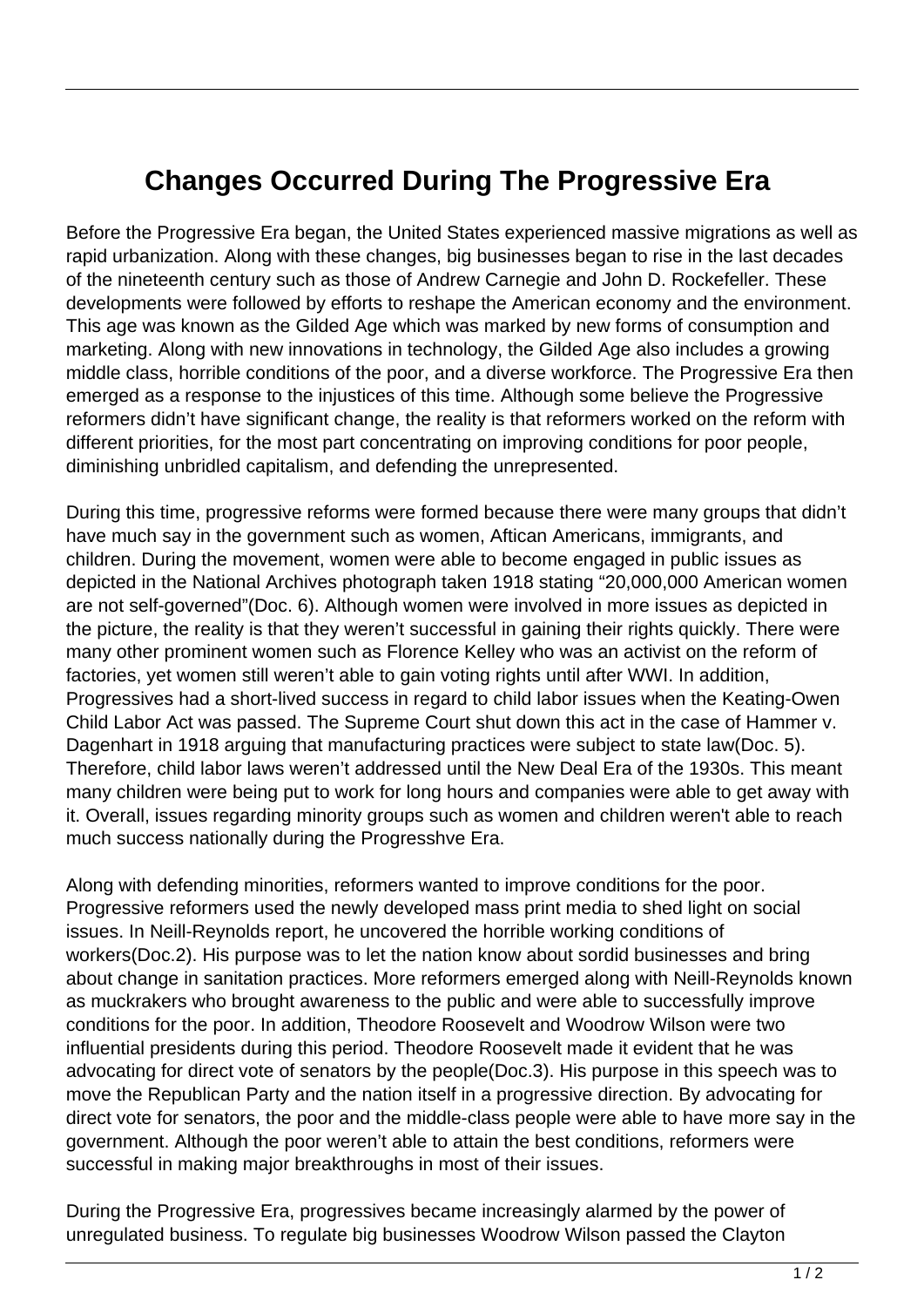## **Changes Occurred During The Progressive Era**

Before the Progressive Era began, the United States experienced massive migrations as well as rapid urbanization. Along with these changes, big businesses began to rise in the last decades of the nineteenth century such as those of Andrew Carnegie and John D. Rockefeller. These developments were followed by efforts to reshape the American economy and the environment. This age was known as the Gilded Age which was marked by new forms of consumption and marketing. Along with new innovations in technology, the Gilded Age also includes a growing middle class, horrible conditions of the poor, and a diverse workforce. The Progressive Era then emerged as a response to the injustices of this time. Although some believe the Progressive reformers didn't have significant change, the reality is that reformers worked on the reform with different priorities, for the most part concentrating on improving conditions for poor people, diminishing unbridled capitalism, and defending the unrepresented.

During this time, progressive reforms were formed because there were many groups that didn't have much say in the government such as women, Aftican Americans, immigrants, and children. During the movement, women were able to become engaged in public issues as depicted in the National Archives photograph taken 1918 stating "20,000,000 American women are not self-governed"(Doc. 6). Although women were involved in more issues as depicted in the picture, the reality is that they weren't successful in gaining their rights quickly. There were many other prominent women such as Florence Kelley who was an activist on the reform of factories, yet women still weren't able to gain voting rights until after WWI. In addition, Progressives had a short-lived success in regard to child labor issues when the Keating-Owen Child Labor Act was passed. The Supreme Court shut down this act in the case of Hammer v. Dagenhart in 1918 arguing that manufacturing practices were subject to state law(Doc. 5). Therefore, child labor laws weren't addressed until the New Deal Era of the 1930s. This meant many children were being put to work for long hours and companies were able to get away with it. Overall, issues regarding minority groups such as women and children weren't able to reach much success nationally during the Progresshve Era.

Along with defending minorities, reformers wanted to improve conditions for the poor. Progressive reformers used the newly developed mass print media to shed light on social issues. In Neill-Reynolds report, he uncovered the horrible working conditions of workers(Doc.2). His purpose was to let the nation know about sordid businesses and bring about change in sanitation practices. More reformers emerged along with Neill-Reynolds known as muckrakers who brought awareness to the public and were able to successfully improve conditions for the poor. In addition, Theodore Roosevelt and Woodrow Wilson were two influential presidents during this period. Theodore Roosevelt made it evident that he was advocating for direct vote of senators by the people(Doc.3). His purpose in this speech was to move the Republican Party and the nation itself in a progressive direction. By advocating for direct vote for senators, the poor and the middle-class people were able to have more say in the government. Although the poor weren't able to attain the best conditions, reformers were successful in making major breakthroughs in most of their issues.

During the Progressive Era, progressives became increasingly alarmed by the power of unregulated business. To regulate big businesses Woodrow Wilson passed the Clayton